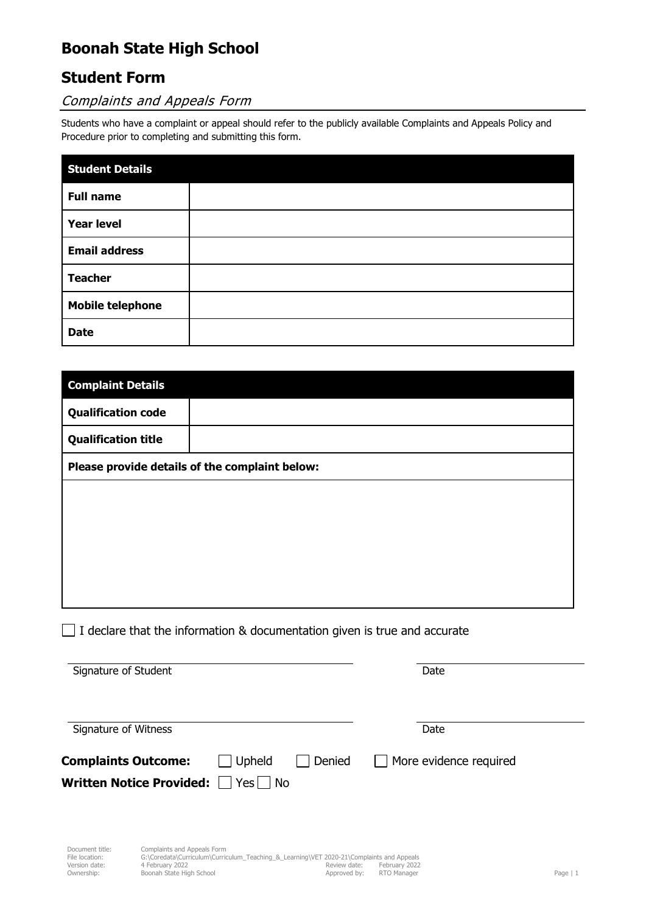# **Boonah State High School**

### **Student Form**

### Complaints and Appeals Form

Students who have a complaint or appeal should refer to the publicly available Complaints and Appeals Policy and Procedure prior to completing and submitting this form.

| <b>Student Details</b>  |  |
|-------------------------|--|
| <b>Full name</b>        |  |
| <b>Year level</b>       |  |
| <b>Email address</b>    |  |
| <b>Teacher</b>          |  |
| <b>Mobile telephone</b> |  |
| <b>Date</b>             |  |

| <b>Complaint Details</b>                       |  |  |  |  |
|------------------------------------------------|--|--|--|--|
| <b>Qualification code</b>                      |  |  |  |  |
| <b>Qualification title</b>                     |  |  |  |  |
| Please provide details of the complaint below: |  |  |  |  |
|                                                |  |  |  |  |
|                                                |  |  |  |  |
|                                                |  |  |  |  |
|                                                |  |  |  |  |
|                                                |  |  |  |  |

 $\Box$  I declare that the information & documentation given is true and accurate

| Signature of Student                                       |               |               | Date                          |  |
|------------------------------------------------------------|---------------|---------------|-------------------------------|--|
| Signature of Witness                                       |               |               | Date                          |  |
| <b>Complaints Outcome:</b><br>Written Notice Provided: Ves | $\Box$ Upheld | $\Box$ Denied | $\Box$ More evidence required |  |
|                                                            |               |               |                               |  |